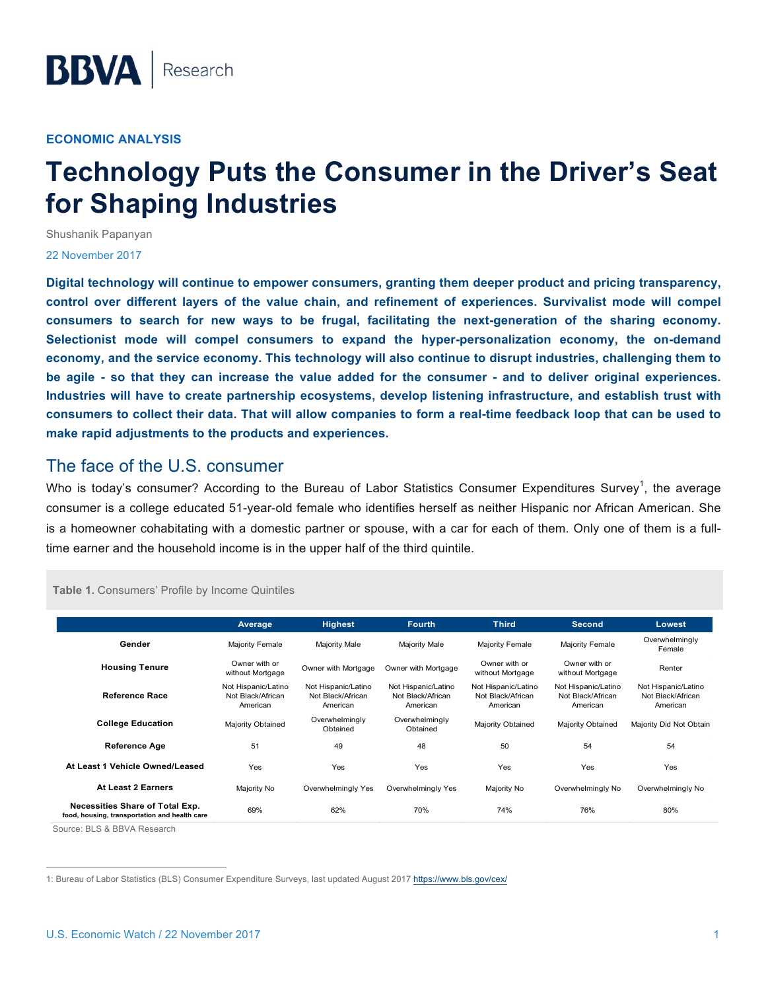#### **ECONOMIC ANALYSIS**

# **Technology Puts the Consumer in the Driver's Seat for Shaping Industries**

Shushanik Papanyan

#### 22 November 2017

**Digital technology will continue to empower consumers, granting them deeper product and pricing transparency, control over different layers of the value chain, and refinement of experiences. Survivalist mode will compel consumers to search for new ways to be frugal, facilitating the next-generation of the sharing economy. Selectionist mode will compel consumers to expand the hyper-personalization economy, the on-demand economy, and the service economy. This technology will also continue to disrupt industries, challenging them to be agile - so that they can increase the value added for the consumer - and to deliver original experiences. Industries will have to create partnership ecosystems, develop listening infrastructure, and establish trust with consumers to collect their data. That will allow companies to form a real-time feedback loop that can be used to make rapid adjustments to the products and experiences.** 

#### The face of the U.S. consumer

Who is today's consumer? According to the Bureau of Labor Statistics Consumer Expenditures Survey<sup>1</sup>, the average consumer is a college educated 51-year-old female who identifies herself as neither Hispanic nor African American. She is a homeowner cohabitating with a domestic partner or spouse, with a car for each of them. Only one of them is a fulltime earner and the household income is in the upper half of the third quintile.

#### **Table 1.** Consumers' Profile by Income Quintiles

|                                                                                  | Average                                              | <b>Highest</b>                                       | <b>Fourth</b>                                        | <b>Third</b>                                         | <b>Second</b>                                        | Lowest                                               |
|----------------------------------------------------------------------------------|------------------------------------------------------|------------------------------------------------------|------------------------------------------------------|------------------------------------------------------|------------------------------------------------------|------------------------------------------------------|
| Gender                                                                           | Majority Female                                      | Majority Male                                        | Majority Male                                        | Majority Female                                      | Majority Female                                      | Overwhelmingly<br>Female                             |
| <b>Housing Tenure</b>                                                            | Owner with or<br>without Mortgage                    | Owner with Mortgage                                  | Owner with Mortgage                                  | Owner with or<br>without Mortgage                    | Owner with or<br>without Mortgage                    | Renter                                               |
| <b>Reference Race</b>                                                            | Not Hispanic/Latino<br>Not Black/African<br>American | Not Hispanic/Latino<br>Not Black/African<br>American | Not Hispanic/Latino<br>Not Black/African<br>American | Not Hispanic/Latino<br>Not Black/African<br>American | Not Hispanic/Latino<br>Not Black/African<br>American | Not Hispanic/Latino<br>Not Black/African<br>American |
| <b>College Education</b>                                                         | Majority Obtained                                    | Overwhelmingly<br>Obtained                           | Overwhelmingly<br>Obtained                           | Majority Obtained                                    | Majority Obtained                                    | Majority Did Not Obtain                              |
| <b>Reference Age</b>                                                             | 51                                                   | 49                                                   | 48                                                   | 50                                                   | 54                                                   | 54                                                   |
| At Least 1 Vehicle Owned/Leased                                                  | Yes                                                  | Yes                                                  | Yes                                                  | Yes                                                  | Yes                                                  | Yes                                                  |
| At Least 2 Earners                                                               | Majority No                                          | Overwhelmingly Yes                                   | Overwhelmingly Yes                                   | Majority No                                          | Overwhelmingly No                                    | Overwhelmingly No                                    |
| Necessities Share of Total Exp.<br>food, housing, transportation and health care | 69%                                                  | 62%                                                  | 70%                                                  | 74%                                                  | 76%                                                  | 80%                                                  |

Source: BLS & BBVA Research

 <sup>1:</sup> Bureau of Labor Statistics (BLS) Consumer Expenditure Surveys, last updated August 2017 https://www.bls.gov/cex/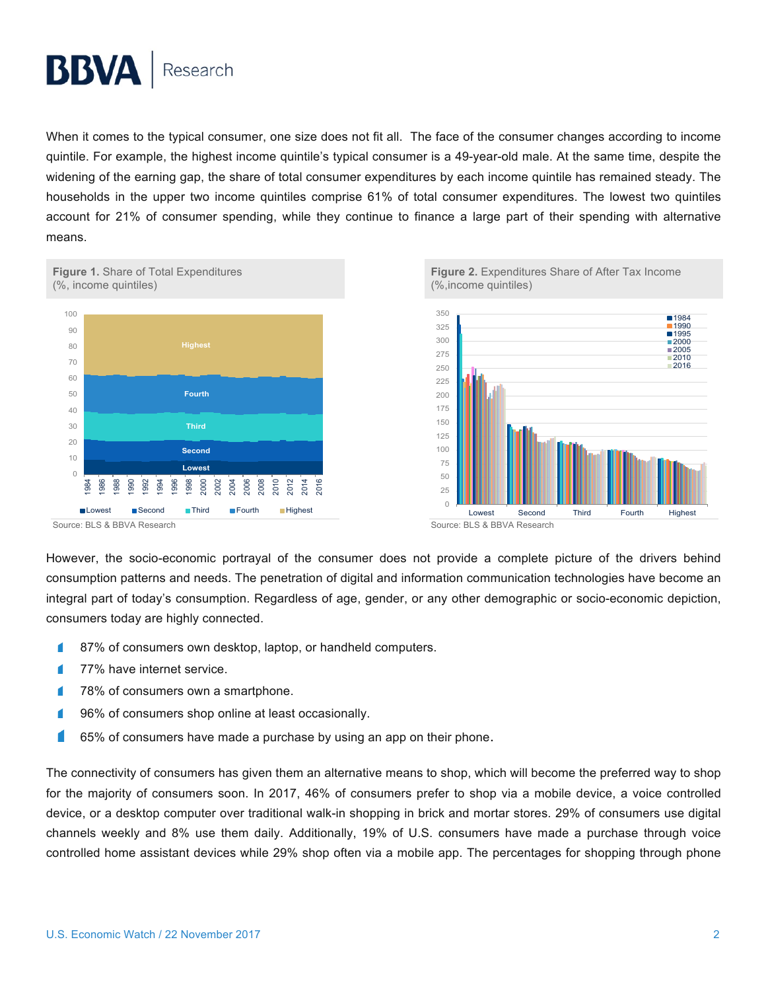When it comes to the typical consumer, one size does not fit all. The face of the consumer changes according to income quintile. For example, the highest income quintile's typical consumer is a 49-year-old male. At the same time, despite the widening of the earning gap, the share of total consumer expenditures by each income quintile has remained steady. The households in the upper two income quintiles comprise 61% of total consumer expenditures. The lowest two quintiles account for 21% of consumer spending, while they continue to finance a large part of their spending with alternative means.







However, the socio-economic portrayal of the consumer does not provide a complete picture of the drivers behind consumption patterns and needs. The penetration of digital and information communication technologies have become an integral part of today's consumption. Regardless of age, gender, or any other demographic or socio-economic depiction, consumers today are highly connected.

- ı 87% of consumers own desktop, laptop, or handheld computers.
- 77% have internet service. г
- 78% of consumers own a smartphone. г
- 96% of consumers shop online at least occasionally.
- 65% of consumers have made a purchase by using an app on their phone.

The connectivity of consumers has given them an alternative means to shop, which will become the preferred way to shop for the majority of consumers soon. In 2017, 46% of consumers prefer to shop via a mobile device, a voice controlled device, or a desktop computer over traditional walk-in shopping in brick and mortar stores. 29% of consumers use digital channels weekly and 8% use them daily. Additionally, 19% of U.S. consumers have made a purchase through voice controlled home assistant devices while 29% shop often via a mobile app. The percentages for shopping through phone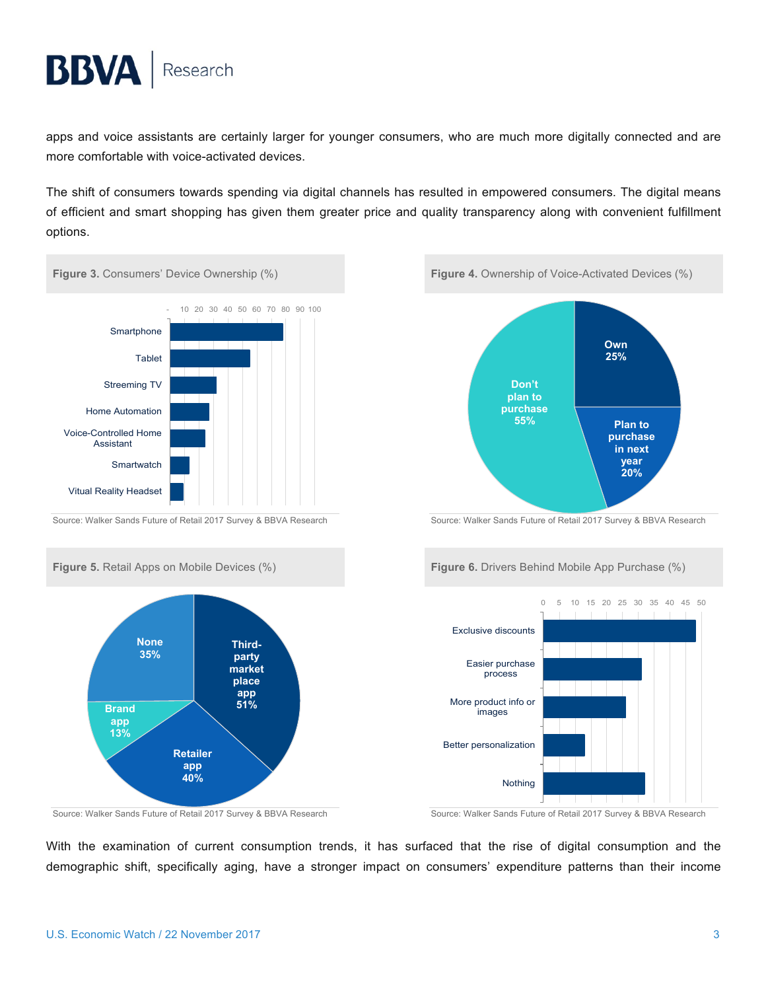apps and voice assistants are certainly larger for younger consumers, who are much more digitally connected and are more comfortable with voice-activated devices.

The shift of consumers towards spending via digital channels has resulted in empowered consumers. The digital means of efficient and smart shopping has given them greater price and quality transparency along with convenient fulfillment options.













Source: Walker Sands Future of Retail 2017 Survey & BBVA Research Source: Walker Sands Future of Retail 2017 Survey & BBVA Research

With the examination of current consumption trends, it has surfaced that the rise of digital consumption and the demographic shift, specifically aging, have a stronger impact on consumers' expenditure patterns than their income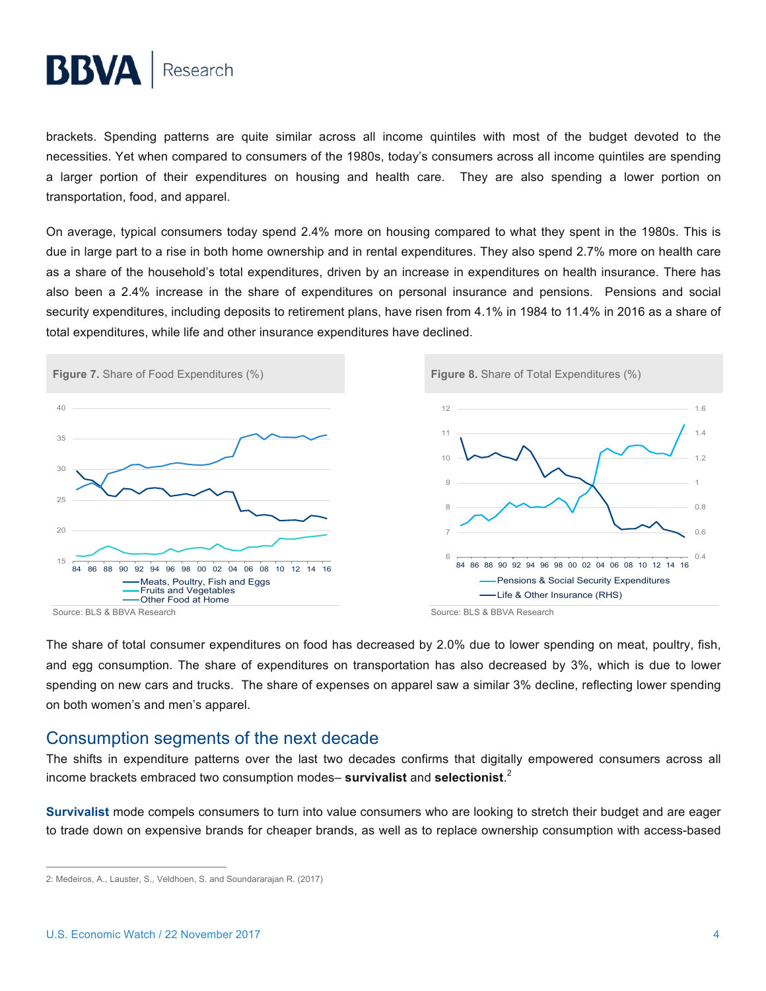brackets. Spending patterns are quite similar across all income quintiles with most of the budget devoted to the necessities. Yet when compared to consumers of the 1980s, today's consumers across all income quintiles are spending a larger portion of their expenditures on housing and health care. They are also spending a lower portion on transportation, food, and apparel.

On average, typical consumers today spend 2.4% more on housing compared to what they spent in the 1980s. This is due in large part to a rise in both home ownership and in rental expenditures. They also spend 2.7% more on health care as a share of the household's total expenditures, driven by an increase in expenditures on health insurance. There has also been a 2.4% increase in the share of expenditures on personal insurance and pensions. Pensions and social security expenditures, including deposits to retirement plans, have risen from 4.1% in 1984 to 11.4% in 2016 as a share of total expenditures, while life and other insurance expenditures have declined.



The share of total consumer expenditures on food has decreased by 2.0% due to lower spending on meat, poultry, fish, and egg consumption. The share of expenditures on transportation has also decreased by 3%, which is due to lower spending on new cars and trucks. The share of expenses on apparel saw a similar 3% decline, reflecting lower spending on both women's and men's apparel.

### Consumption segments of the next decade

The shifts in expenditure patterns over the last two decades confirms that digitally empowered consumers across all income brackets embraced two consumption modes– **survivalist** and **selectionist**. 2

**Survivalist** mode compels consumers to turn into value consumers who are looking to stretch their budget and are eager to trade down on expensive brands for cheaper brands, as well as to replace ownership consumption with access-based

 <sup>2:</sup> Medeiros, A., Lauster, S., Veldhoen, S. and Soundararajan R. (2017)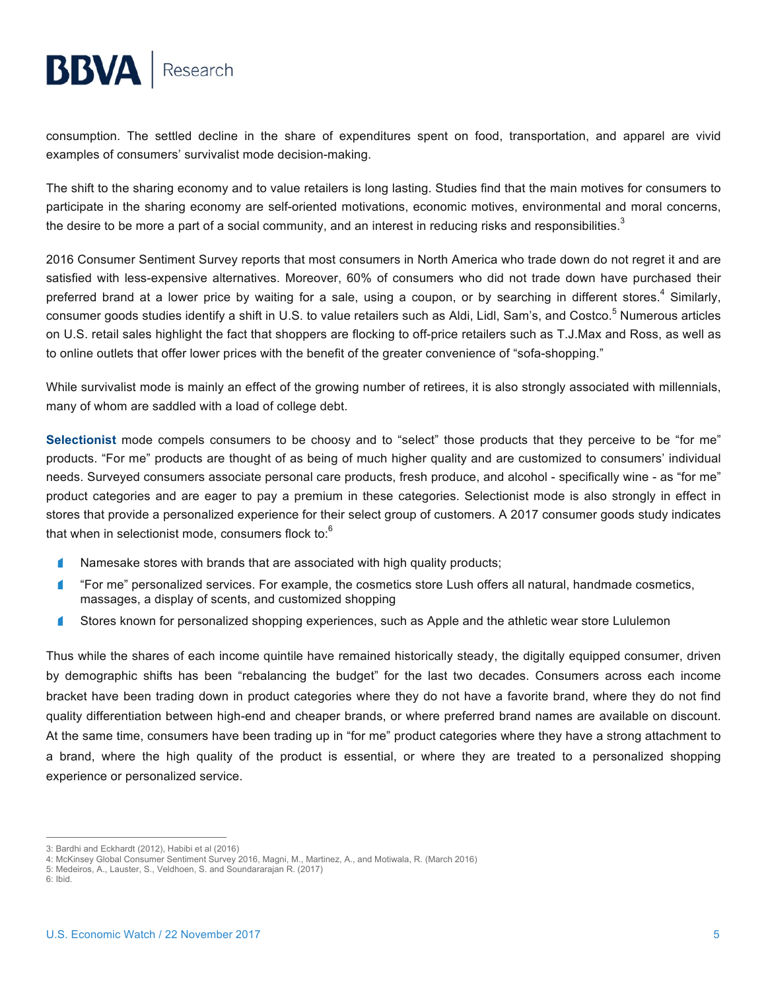consumption. The settled decline in the share of expenditures spent on food, transportation, and apparel are vivid examples of consumers' survivalist mode decision-making.

The shift to the sharing economy and to value retailers is long lasting. Studies find that the main motives for consumers to participate in the sharing economy are self-oriented motivations, economic motives, environmental and moral concerns, the desire to be more a part of a social community, and an interest in reducing risks and responsibilities. $^3$ 

2016 Consumer Sentiment Survey reports that most consumers in North America who trade down do not regret it and are satisfied with less-expensive alternatives. Moreover, 60% of consumers who did not trade down have purchased their preferred brand at a lower price by waiting for a sale, using a coupon, or by searching in different stores.<sup>4</sup> Similarly, consumer goods studies identify a shift in U.S. to value retailers such as Aldi, Lidl, Sam's, and Costco.<sup>5</sup> Numerous articles on U.S. retail sales highlight the fact that shoppers are flocking to off-price retailers such as T.J.Max and Ross, as well as to online outlets that offer lower prices with the benefit of the greater convenience of "sofa-shopping."

While survivalist mode is mainly an effect of the growing number of retirees, it is also strongly associated with millennials, many of whom are saddled with a load of college debt.

**Selectionist** mode compels consumers to be choosy and to "select" those products that they perceive to be "for me" products. "For me" products are thought of as being of much higher quality and are customized to consumers' individual needs. Surveyed consumers associate personal care products, fresh produce, and alcohol - specifically wine - as "for me" product categories and are eager to pay a premium in these categories. Selectionist mode is also strongly in effect in stores that provide a personalized experience for their select group of customers. A 2017 consumer goods study indicates that when in selectionist mode, consumers flock to:<sup>6</sup>

- ◢ Namesake stores with brands that are associated with high quality products;
- ◢ "For me" personalized services. For example, the cosmetics store Lush offers all natural, handmade cosmetics, massages, a display of scents, and customized shopping
- Stores known for personalized shopping experiences, such as Apple and the athletic wear store Lululemon ◢

Thus while the shares of each income quintile have remained historically steady, the digitally equipped consumer, driven by demographic shifts has been "rebalancing the budget" for the last two decades. Consumers across each income bracket have been trading down in product categories where they do not have a favorite brand, where they do not find quality differentiation between high-end and cheaper brands, or where preferred brand names are available on discount. At the same time, consumers have been trading up in "for me" product categories where they have a strong attachment to a brand, where the high quality of the product is essential, or where they are treated to a personalized shopping experience or personalized service.

 <sup>3:</sup> Bardhi and Eckhardt (2012), Habibi et al (2016)

<sup>4:</sup> McKinsey Global Consumer Sentiment Survey 2016, Magni, M., Martinez, A., and Motiwala, R. (March 2016)

<sup>5:</sup> Medeiros, A., Lauster, S., Veldhoen, S. and Soundararajan R. (2017)

<sup>6:</sup> Ibid.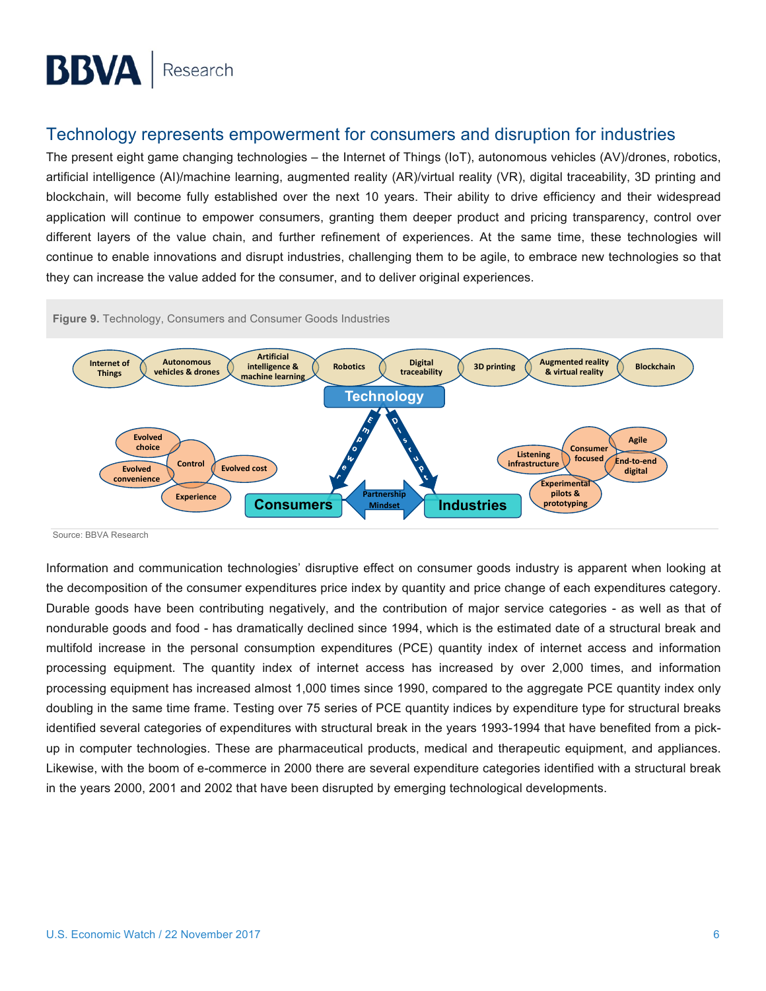### Technology represents empowerment for consumers and disruption for industries

The present eight game changing technologies – the Internet of Things (IoT), autonomous vehicles (AV)/drones, robotics, artificial intelligence (AI)/machine learning, augmented reality (AR)/virtual reality (VR), digital traceability, 3D printing and blockchain, will become fully established over the next 10 years. Their ability to drive efficiency and their widespread application will continue to empower consumers, granting them deeper product and pricing transparency, control over different layers of the value chain, and further refinement of experiences. At the same time, these technologies will continue to enable innovations and disrupt industries, challenging them to be agile, to embrace new technologies so that they can increase the value added for the consumer, and to deliver original experiences.



Source: BBVA Research

Information and communication technologies' disruptive effect on consumer goods industry is apparent when looking at the decomposition of the consumer expenditures price index by quantity and price change of each expenditures category. Durable goods have been contributing negatively, and the contribution of major service categories - as well as that of nondurable goods and food - has dramatically declined since 1994, which is the estimated date of a structural break and multifold increase in the personal consumption expenditures (PCE) quantity index of internet access and information processing equipment. The quantity index of internet access has increased by over 2,000 times, and information processing equipment has increased almost 1,000 times since 1990, compared to the aggregate PCE quantity index only doubling in the same time frame. Testing over 75 series of PCE quantity indices by expenditure type for structural breaks identified several categories of expenditures with structural break in the years 1993-1994 that have benefited from a pickup in computer technologies. These are pharmaceutical products, medical and therapeutic equipment, and appliances. Likewise, with the boom of e-commerce in 2000 there are several expenditure categories identified with a structural break in the years 2000, 2001 and 2002 that have been disrupted by emerging technological developments.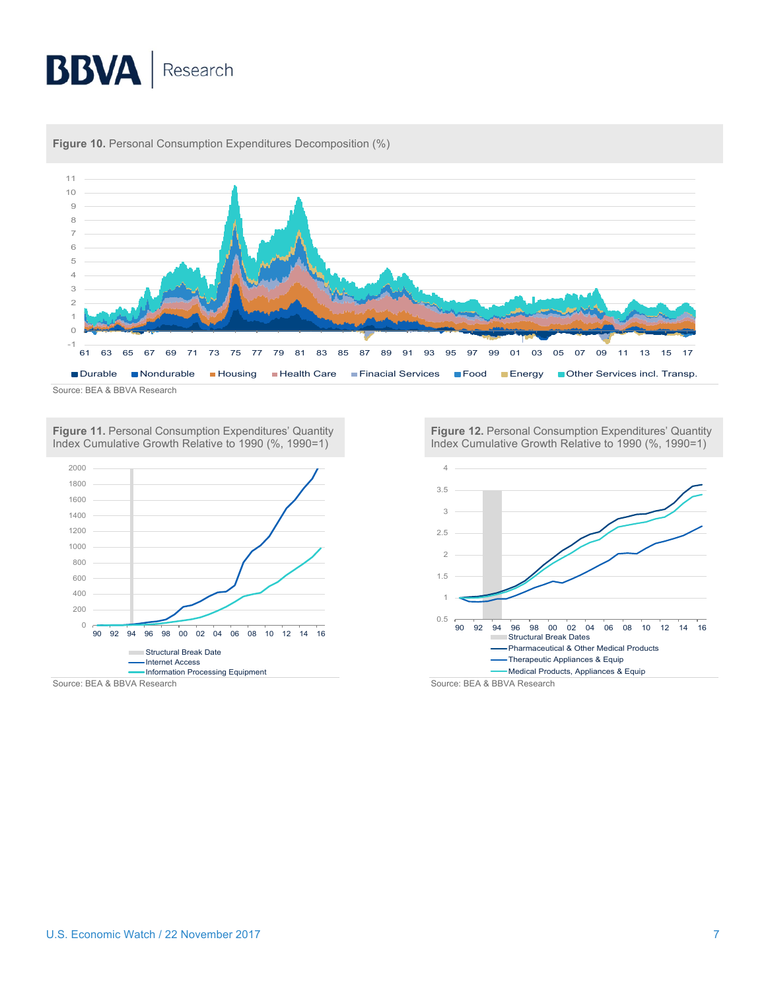

**Figure 10.** Personal Consumption Expenditures Decomposition (%)

**Figure 11.** Personal Consumption Expenditures' Quantity Index Cumulative Growth Relative to 1990 (%, 1990=1)



**Figure 12.** Personal Consumption Expenditures' Quantity Index Cumulative Growth Relative to 1990 (%, 1990=1)



Source: BEA & BBVA Research Source: BEA & BBVA Research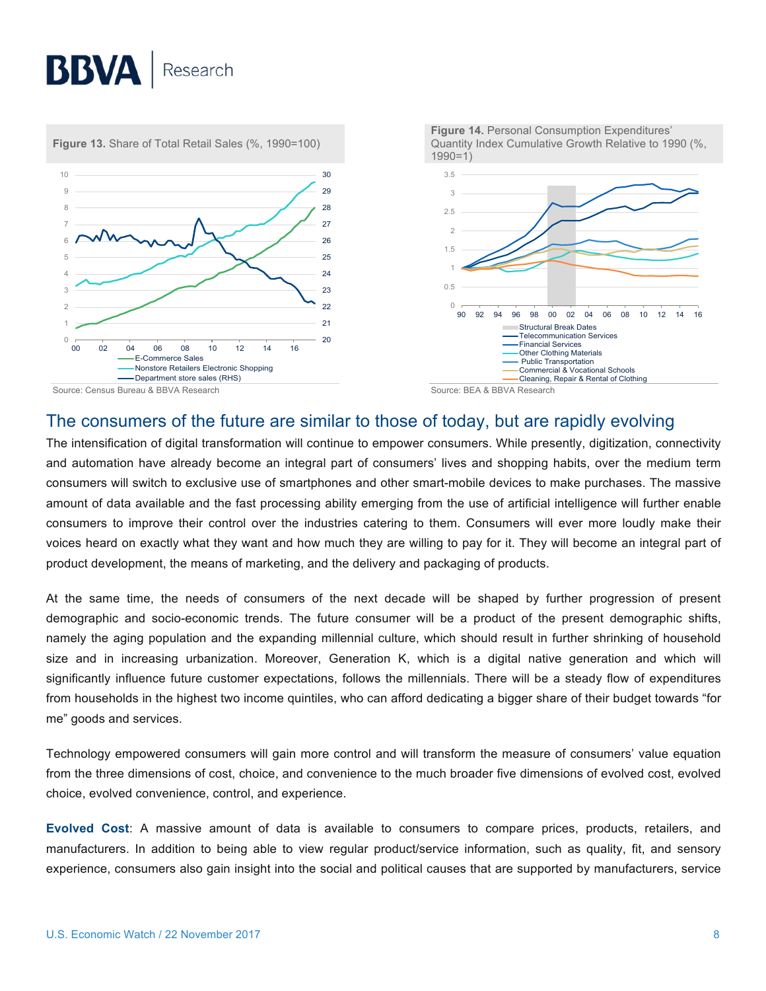

### The consumers of the future are similar to those of today, but are rapidly evolving

The intensification of digital transformation will continue to empower consumers. While presently, digitization, connectivity and automation have already become an integral part of consumers' lives and shopping habits, over the medium term consumers will switch to exclusive use of smartphones and other smart-mobile devices to make purchases. The massive amount of data available and the fast processing ability emerging from the use of artificial intelligence will further enable consumers to improve their control over the industries catering to them. Consumers will ever more loudly make their voices heard on exactly what they want and how much they are willing to pay for it. They will become an integral part of product development, the means of marketing, and the delivery and packaging of products.

At the same time, the needs of consumers of the next decade will be shaped by further progression of present demographic and socio-economic trends. The future consumer will be a product of the present demographic shifts, namely the aging population and the expanding millennial culture, which should result in further shrinking of household size and in increasing urbanization. Moreover, Generation K, which is a digital native generation and which will significantly influence future customer expectations, follows the millennials. There will be a steady flow of expenditures from households in the highest two income quintiles, who can afford dedicating a bigger share of their budget towards "for me" goods and services.

Technology empowered consumers will gain more control and will transform the measure of consumers' value equation from the three dimensions of cost, choice, and convenience to the much broader five dimensions of evolved cost, evolved choice, evolved convenience, control, and experience.

**Evolved Cost**: A massive amount of data is available to consumers to compare prices, products, retailers, and manufacturers. In addition to being able to view regular product/service information, such as quality, fit, and sensory experience, consumers also gain insight into the social and political causes that are supported by manufacturers, service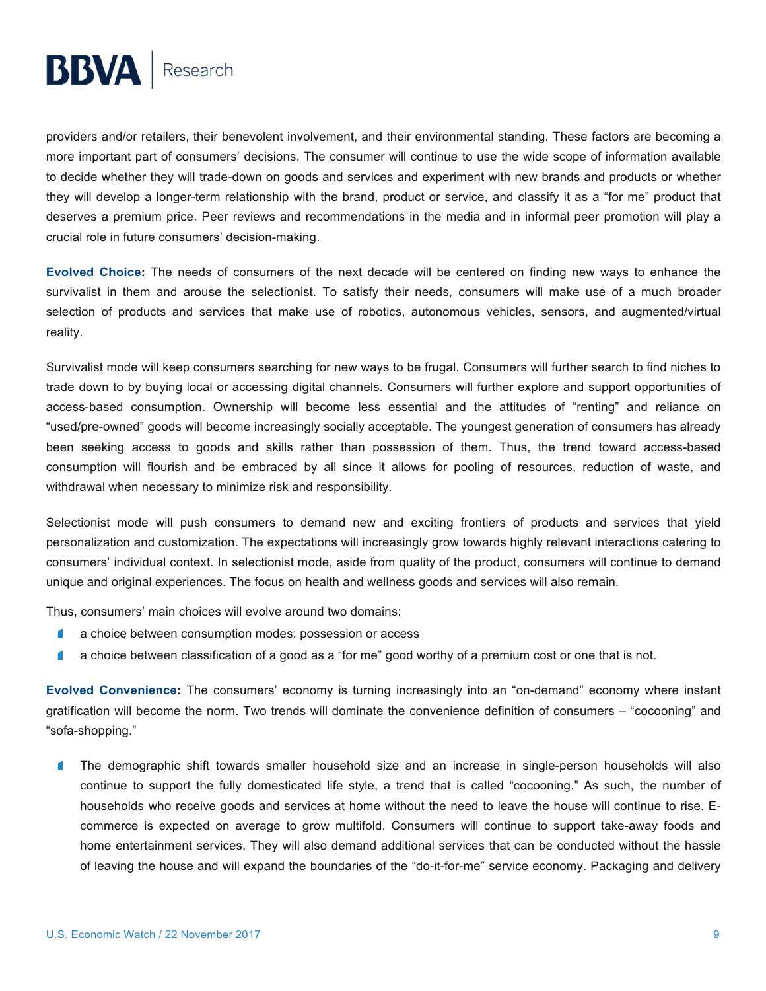providers and/or retailers, their benevolent involvement, and their environmental standing. These factors are becoming a more important part of consumers' decisions. The consumer will continue to use the wide scope of information available to decide whether they will trade-down on goods and services and experiment with new brands and products or whether they will develop a longer-term relationship with the brand, product or service, and classify it as a "for me" product that deserves a premium price. Peer reviews and recommendations in the media and in informal peer promotion will play a crucial role in future consumers' decision-making.

**Evolved Choice:** The needs of consumers of the next decade will be centered on finding new ways to enhance the survivalist in them and arouse the selectionist. To satisfy their needs, consumers will make use of a much broader selection of products and services that make use of robotics, autonomous vehicles, sensors, and augmented/virtual reality.

Survivalist mode will keep consumers searching for new ways to be frugal. Consumers will further search to find niches to trade down to by buying local or accessing digital channels. Consumers will further explore and support opportunities of access-based consumption. Ownership will become less essential and the attitudes of "renting" and reliance on "used/pre-owned" goods will become increasingly socially acceptable. The youngest generation of consumers has already been seeking access to goods and skills rather than possession of them. Thus, the trend toward access-based consumption will flourish and be embraced by all since it allows for pooling of resources, reduction of waste, and withdrawal when necessary to minimize risk and responsibility.

Selectionist mode will push consumers to demand new and exciting frontiers of products and services that yield personalization and customization. The expectations will increasingly grow towards highly relevant interactions catering to consumers' individual context. In selectionist mode, aside from quality of the product, consumers will continue to demand unique and original experiences. The focus on health and wellness goods and services will also remain.

Thus, consumers' main choices will evolve around two domains:

- a choice between consumption modes: possession or access  $\blacksquare$
- $\blacksquare$ a choice between classification of a good as a "for me" good worthy of a premium cost or one that is not.

**Evolved Convenience:** The consumers' economy is turning increasingly into an "on-demand" economy where instant gratification will become the norm. Two trends will dominate the convenience definition of consumers – "cocooning" and "sofa-shopping."

 $\blacksquare$ The demographic shift towards smaller household size and an increase in single-person households will also continue to support the fully domesticated life style, a trend that is called "cocooning." As such, the number of households who receive goods and services at home without the need to leave the house will continue to rise. Ecommerce is expected on average to grow multifold. Consumers will continue to support take-away foods and home entertainment services. They will also demand additional services that can be conducted without the hassle of leaving the house and will expand the boundaries of the "do-it-for-me" service economy. Packaging and delivery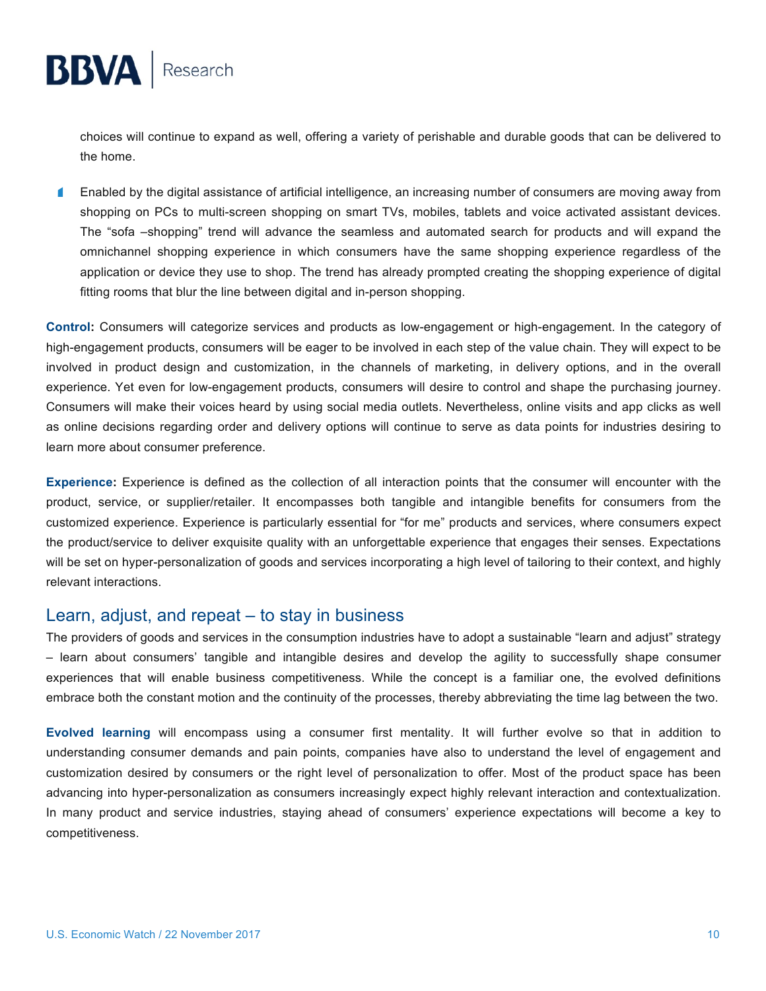

Enabled by the digital assistance of artificial intelligence, an increasing number of consumers are moving away from  $\blacksquare$ shopping on PCs to multi-screen shopping on smart TVs, mobiles, tablets and voice activated assistant devices. The "sofa –shopping" trend will advance the seamless and automated search for products and will expand the omnichannel shopping experience in which consumers have the same shopping experience regardless of the application or device they use to shop. The trend has already prompted creating the shopping experience of digital fitting rooms that blur the line between digital and in-person shopping.

**Control:** Consumers will categorize services and products as low-engagement or high-engagement. In the category of high-engagement products, consumers will be eager to be involved in each step of the value chain. They will expect to be involved in product design and customization, in the channels of marketing, in delivery options, and in the overall experience. Yet even for low-engagement products, consumers will desire to control and shape the purchasing journey. Consumers will make their voices heard by using social media outlets. Nevertheless, online visits and app clicks as well as online decisions regarding order and delivery options will continue to serve as data points for industries desiring to learn more about consumer preference.

**Experience:** Experience is defined as the collection of all interaction points that the consumer will encounter with the product, service, or supplier/retailer. It encompasses both tangible and intangible benefits for consumers from the customized experience. Experience is particularly essential for "for me" products and services, where consumers expect the product/service to deliver exquisite quality with an unforgettable experience that engages their senses. Expectations will be set on hyper-personalization of goods and services incorporating a high level of tailoring to their context, and highly relevant interactions.

#### Learn, adjust, and repeat – to stay in business

The providers of goods and services in the consumption industries have to adopt a sustainable "learn and adjust" strategy – learn about consumers' tangible and intangible desires and develop the agility to successfully shape consumer experiences that will enable business competitiveness. While the concept is a familiar one, the evolved definitions embrace both the constant motion and the continuity of the processes, thereby abbreviating the time lag between the two.

**Evolved learning** will encompass using a consumer first mentality. It will further evolve so that in addition to understanding consumer demands and pain points, companies have also to understand the level of engagement and customization desired by consumers or the right level of personalization to offer. Most of the product space has been advancing into hyper-personalization as consumers increasingly expect highly relevant interaction and contextualization. In many product and service industries, staying ahead of consumers' experience expectations will become a key to competitiveness.

**BBVA** Research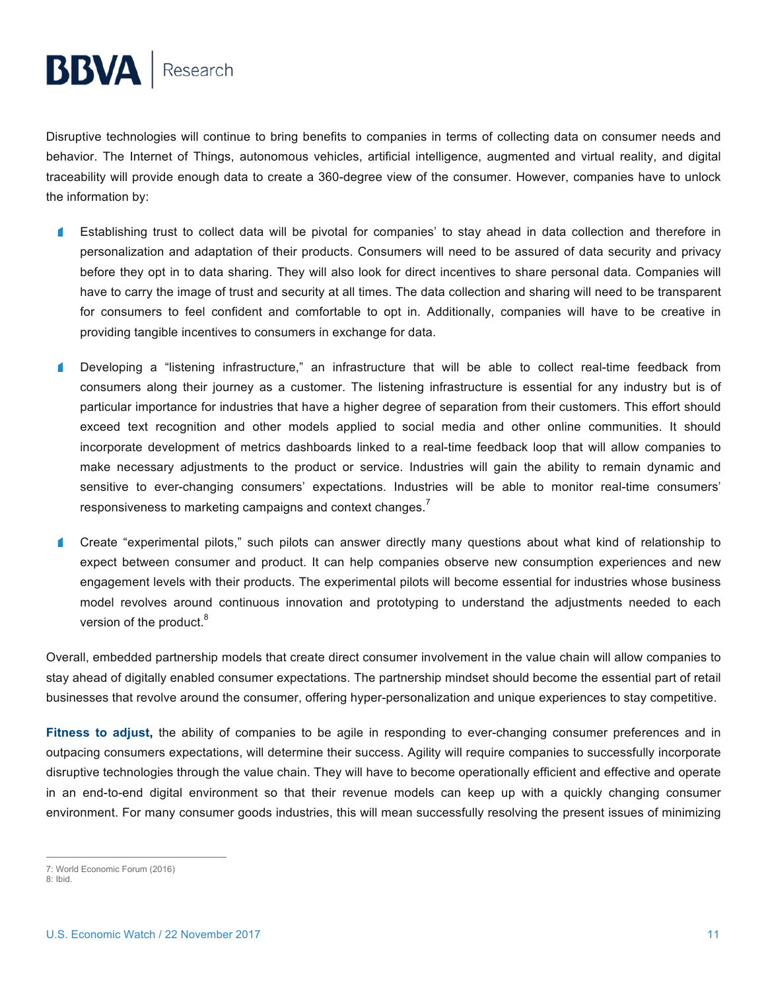Disruptive technologies will continue to bring benefits to companies in terms of collecting data on consumer needs and behavior. The Internet of Things, autonomous vehicles, artificial intelligence, augmented and virtual reality, and digital traceability will provide enough data to create a 360-degree view of the consumer. However, companies have to unlock the information by:

- 4 Establishing trust to collect data will be pivotal for companies' to stay ahead in data collection and therefore in personalization and adaptation of their products. Consumers will need to be assured of data security and privacy before they opt in to data sharing. They will also look for direct incentives to share personal data. Companies will have to carry the image of trust and security at all times. The data collection and sharing will need to be transparent for consumers to feel confident and comfortable to opt in. Additionally, companies will have to be creative in providing tangible incentives to consumers in exchange for data.
- Developing a "listening infrastructure," an infrastructure that will be able to collect real-time feedback from п consumers along their journey as a customer. The listening infrastructure is essential for any industry but is of particular importance for industries that have a higher degree of separation from their customers. This effort should exceed text recognition and other models applied to social media and other online communities. It should incorporate development of metrics dashboards linked to a real-time feedback loop that will allow companies to make necessary adjustments to the product or service. Industries will gain the ability to remain dynamic and sensitive to ever-changing consumers' expectations. Industries will be able to monitor real-time consumers' responsiveness to marketing campaigns and context changes.<sup>7</sup>
- $\blacksquare$ Create "experimental pilots," such pilots can answer directly many questions about what kind of relationship to expect between consumer and product. It can help companies observe new consumption experiences and new engagement levels with their products. The experimental pilots will become essential for industries whose business model revolves around continuous innovation and prototyping to understand the adjustments needed to each version of the product.<sup>8</sup>

Overall, embedded partnership models that create direct consumer involvement in the value chain will allow companies to stay ahead of digitally enabled consumer expectations. The partnership mindset should become the essential part of retail businesses that revolve around the consumer, offering hyper-personalization and unique experiences to stay competitive.

**Fitness to adjust,** the ability of companies to be agile in responding to ever-changing consumer preferences and in outpacing consumers expectations, will determine their success. Agility will require companies to successfully incorporate disruptive technologies through the value chain. They will have to become operationally efficient and effective and operate in an end-to-end digital environment so that their revenue models can keep up with a quickly changing consumer environment. For many consumer goods industries, this will mean successfully resolving the present issues of minimizing

 <sup>7:</sup> World Economic Forum (2016)

<sup>8:</sup> Ibid.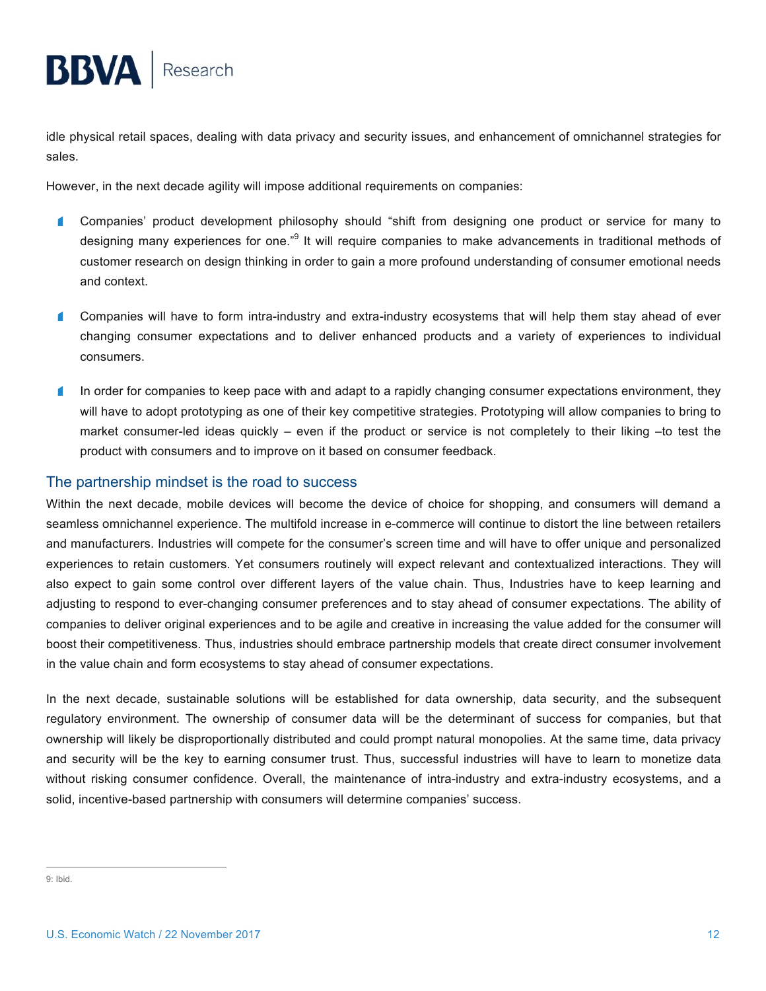idle physical retail spaces, dealing with data privacy and security issues, and enhancement of omnichannel strategies for sales.

However, in the next decade agility will impose additional requirements on companies:

- $\blacksquare$ Companies' product development philosophy should "shift from designing one product or service for many to designing many experiences for one."<sup>9</sup> It will require companies to make advancements in traditional methods of customer research on design thinking in order to gain a more profound understanding of consumer emotional needs and context.
- $\blacksquare$ Companies will have to form intra-industry and extra-industry ecosystems that will help them stay ahead of ever changing consumer expectations and to deliver enhanced products and a variety of experiences to individual consumers.
- ₫ In order for companies to keep pace with and adapt to a rapidly changing consumer expectations environment, they will have to adopt prototyping as one of their key competitive strategies. Prototyping will allow companies to bring to market consumer-led ideas quickly – even if the product or service is not completely to their liking –to test the product with consumers and to improve on it based on consumer feedback.

#### The partnership mindset is the road to success

Within the next decade, mobile devices will become the device of choice for shopping, and consumers will demand a seamless omnichannel experience. The multifold increase in e-commerce will continue to distort the line between retailers and manufacturers. Industries will compete for the consumer's screen time and will have to offer unique and personalized experiences to retain customers. Yet consumers routinely will expect relevant and contextualized interactions. They will also expect to gain some control over different layers of the value chain. Thus, Industries have to keep learning and adjusting to respond to ever-changing consumer preferences and to stay ahead of consumer expectations. The ability of companies to deliver original experiences and to be agile and creative in increasing the value added for the consumer will boost their competitiveness. Thus, industries should embrace partnership models that create direct consumer involvement in the value chain and form ecosystems to stay ahead of consumer expectations.

In the next decade, sustainable solutions will be established for data ownership, data security, and the subsequent regulatory environment. The ownership of consumer data will be the determinant of success for companies, but that ownership will likely be disproportionally distributed and could prompt natural monopolies. At the same time, data privacy and security will be the key to earning consumer trust. Thus, successful industries will have to learn to monetize data without risking consumer confidence. Overall, the maintenance of intra-industry and extra-industry ecosystems, and a solid, incentive-based partnership with consumers will determine companies' success.

 <sup>9:</sup> Ibid.